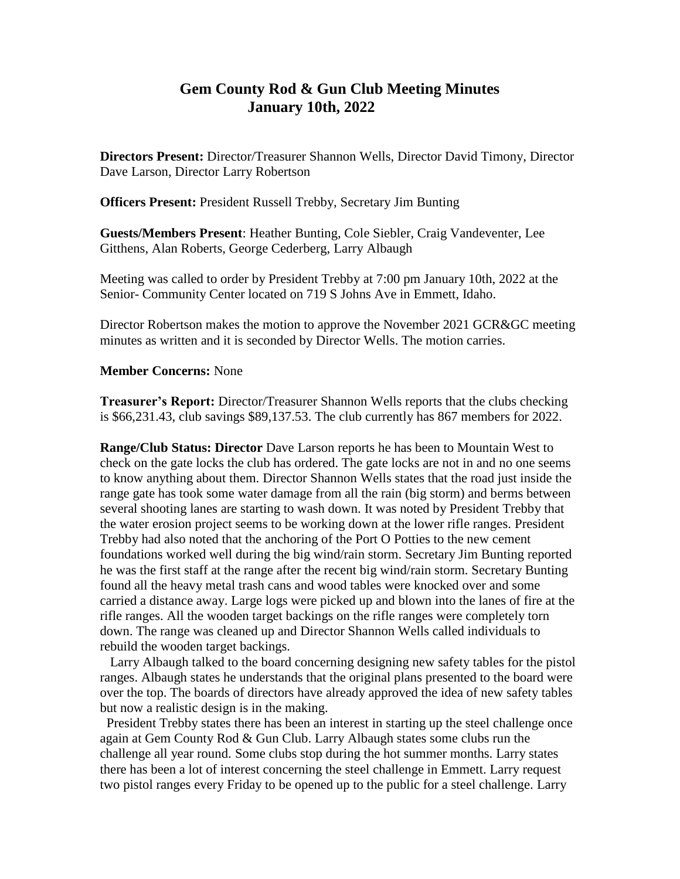## **Gem County Rod & Gun Club Meeting Minutes January 10th, 2022**

**Directors Present:** Director/Treasurer Shannon Wells, Director David Timony, Director Dave Larson, Director Larry Robertson

**Officers Present:** President Russell Trebby, Secretary Jim Bunting

**Guests/Members Present**: Heather Bunting, Cole Siebler, Craig Vandeventer, Lee Gitthens, Alan Roberts, George Cederberg, Larry Albaugh

Meeting was called to order by President Trebby at 7:00 pm January 10th, 2022 at the Senior- Community Center located on 719 S Johns Ave in Emmett, Idaho.

Director Robertson makes the motion to approve the November 2021 GCR&GC meeting minutes as written and it is seconded by Director Wells. The motion carries.

## **Member Concerns:** None

**Treasurer's Report:** Director/Treasurer Shannon Wells reports that the clubs checking is \$66,231.43, club savings \$89,137.53. The club currently has 867 members for 2022.

**Range/Club Status: Director** Dave Larson reports he has been to Mountain West to check on the gate locks the club has ordered. The gate locks are not in and no one seems to know anything about them. Director Shannon Wells states that the road just inside the range gate has took some water damage from all the rain (big storm) and berms between several shooting lanes are starting to wash down. It was noted by President Trebby that the water erosion project seems to be working down at the lower rifle ranges. President Trebby had also noted that the anchoring of the Port O Potties to the new cement foundations worked well during the big wind/rain storm. Secretary Jim Bunting reported he was the first staff at the range after the recent big wind/rain storm. Secretary Bunting found all the heavy metal trash cans and wood tables were knocked over and some carried a distance away. Large logs were picked up and blown into the lanes of fire at the rifle ranges. All the wooden target backings on the rifle ranges were completely torn down. The range was cleaned up and Director Shannon Wells called individuals to rebuild the wooden target backings.

 Larry Albaugh talked to the board concerning designing new safety tables for the pistol ranges. Albaugh states he understands that the original plans presented to the board were over the top. The boards of directors have already approved the idea of new safety tables but now a realistic design is in the making.

 President Trebby states there has been an interest in starting up the steel challenge once again at Gem County Rod & Gun Club. Larry Albaugh states some clubs run the challenge all year round. Some clubs stop during the hot summer months. Larry states there has been a lot of interest concerning the steel challenge in Emmett. Larry request two pistol ranges every Friday to be opened up to the public for a steel challenge. Larry